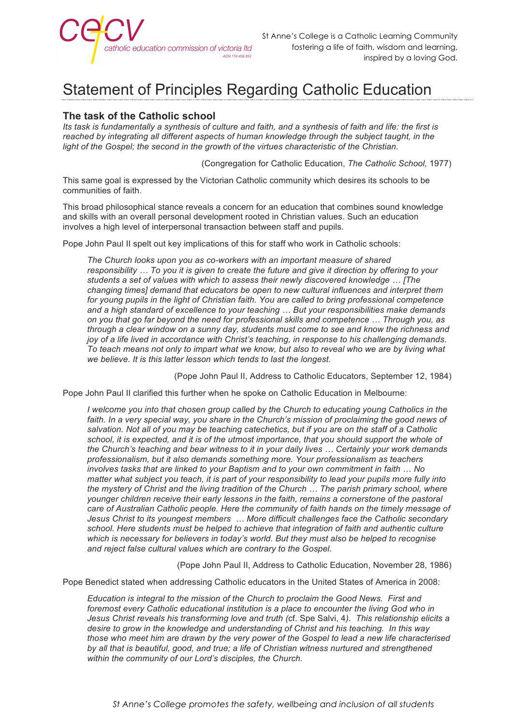

## Statement of Principles Regarding Catholic Education

## **The task of the Catholic school**

*Its task is fundamentally a synthesis of culture and faith, and a synthesis of faith and life: the first is reached by integrating all different aspects of human knowledge through the subject taught, in the light of the Gospel; the second in the growth of the virtues characteristic of the Christian.*

(Congregation for Catholic Education, *The Catholic School,* 1977)

This same goal is expressed by the Victorian Catholic community which desires its schools to be communities of faith.

This broad philosophical stance reveals a concern for an education that combines sound knowledge and skills with an overall personal development rooted in Christian values. Such an education involves a high level of interpersonal transaction between staff and pupils.

Pope John Paul II spelt out key implications of this for staff who work in Catholic schools:

*The Church looks upon you as co-workers with an important measure of shared responsibility … To you it is given to create the future and give it direction by offering to your students a set of values with which to assess their newly discovered knowledge … [The changing times] demand that educators be open to new cultural influences and interpret them for young pupils in the light of Christian faith. You are called to bring professional competence and a high standard of excellence to your teaching … But your responsibilities make demands on you that go far beyond the need for professional skills and competence … Through you, as through a clear window on a sunny day, students must come to see and know the richness and joy of a life lived in accordance with Christ's teaching, in response to his challenging demands. To teach means not only to impart what we know, but also to reveal who we are by living what we believe. It is this latter lesson which tends to last the longest.*

(Pope John Paul II, Address to Catholic Educators, September 12, 1984)

Pope John Paul II clarified this further when he spoke on Catholic Education in Melbourne:

*I* welcome you into that chosen group called by the Church to educating young Catholics in the faith. In a very special way, you share in the Church's mission of proclaiming the good news of *salvation. Not all of you may be teaching catechetics, but if you are on the staff of a Catholic school, it is expected, and it is of the utmost importance, that you should support the whole of the Church's teaching and bear witness to it in your daily lives … Certainly your work demands professionalism, but it also demands something more. Your professionalism as teachers involves tasks that are linked to your Baptism and to your own commitment in faith ... No matter what subject you teach, it is part of your responsibility to lead your pupils more fully into the mystery of Christ and the living tradition of the Church … The parish primary school, where younger children receive their early lessons in the faith, remains a cornerstone of the pastoral care of Australian Catholic people. Here the community of faith hands on the timely message of Jesus Christ to its youngest members … More difficult challenges face the Catholic secondary school. Here students must be helped to achieve that integration of faith and authentic culture which is necessary for believers in today's world. But they must also be helped to recognise and reject false cultural values which are contrary to the Gospel.*

(Pope John Paul II, Address to Catholic Education, November 28, 1986)

Pope Benedict stated when addressing Catholic educators in the United States of America in 2008:

*Education is integral to the mission of the Church to proclaim the Good News. First and*  foremost every Catholic educational institution is a place to encounter the living God who in *Jesus Christ reveals his transforming love and truth (*cf. Spe Salvi, 4*). This relationship elicits a desire to grow in the knowledge and understanding of Christ and his teaching. In this way those who meet him are drawn by the very power of the Gospel to lead a new life characterised*  by all that is beautiful, good, and true; a life of Christian witness nurtured and strengthened *within the community of our Lord's disciples, the Church.*